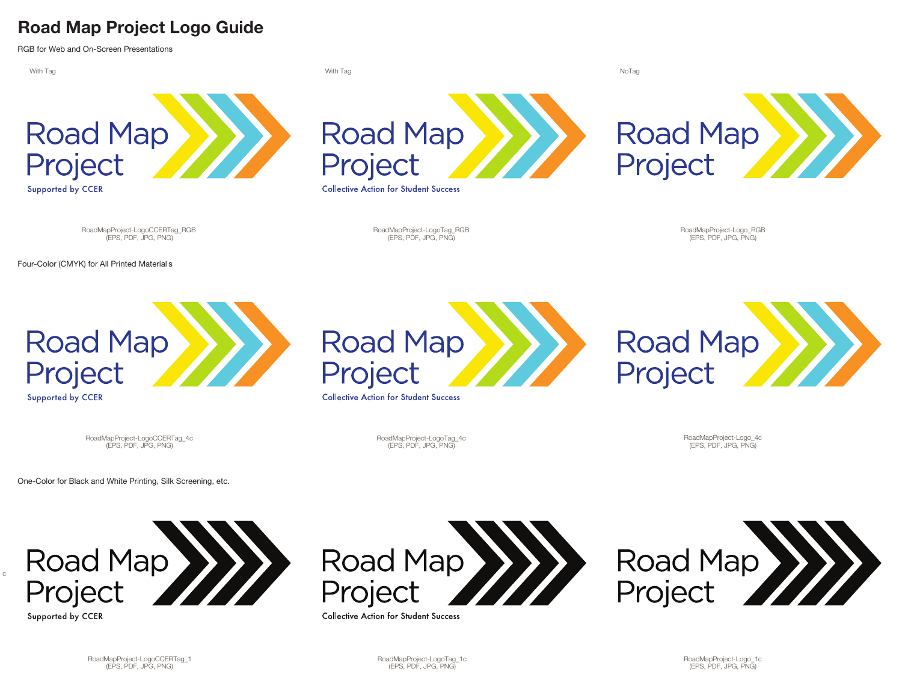## **Road Map Project Logo Guide**

RGB for Web and On-Screen Presentations



c

Project

Supported by CCER

Project

**Collective Action for Student Success** 

Project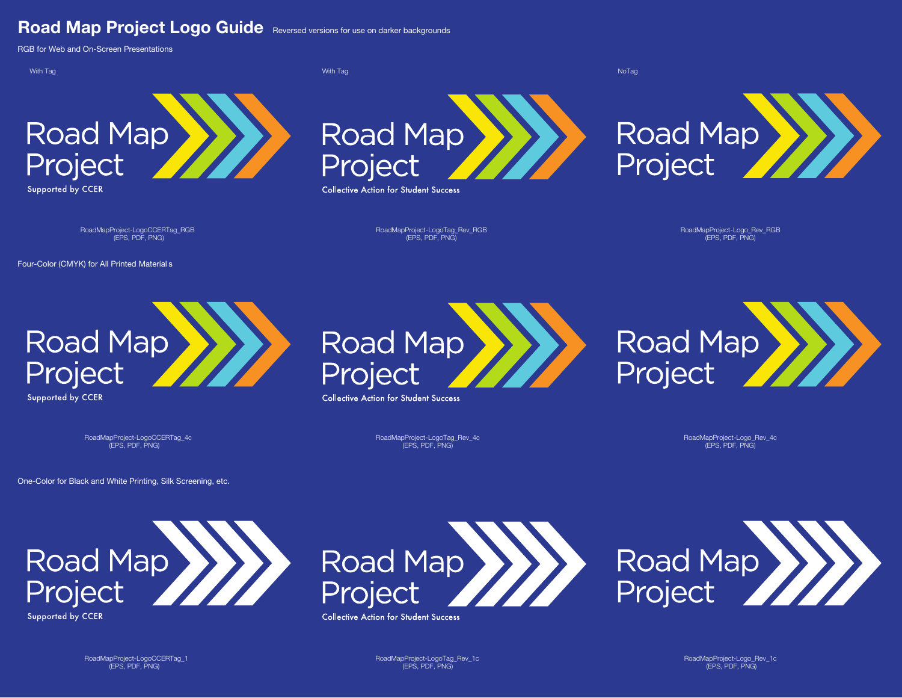## **Road Map Project Logo Guide** Reversed versions for use on darker backgrounds

RGB for Web and On-Screen Presentations

With Tag NoTag With Tag NoTag NoTag NoTag NoTag NoTag NoTag NoTag NoTag NoTag NoTag NoTag NoTag NoTag NoTag No



Supported by CCER



**Collective Action for Student Success** 



- RoadMapProject-LogoCCERTag\_RGB

Four-Color (CMYK) for All Printed Material s

RoadMapProject-LogoTag\_Rev\_RGB (EPS, PDF, PNG) (EPS, PDF, PNG)

- RoadMapProject-Logo\_Rev\_RGB (EPS, PDF, PNG)



**Supported by CCER** 



**Collective Action for Student Success** 



(EPS, PDF, PNG) RoadMapProject-LogoCCERTag\_4c

RoadMapProject-LogoTag\_Rev\_4c (EPS, PDF, PNG)

RoadMapProject-Logo\_Rev\_4c (EPS, PDF, PNG)

One-Color for Black and White Printing, Silk Screening, etc.



**Road Map** Project

**Collective Action for Student Success** 



(EPS, PDF, PNG) RoadMapProject-LogoCCERTag\_1

(EPS, PDF, PNG) (EPS, PDF, PNG) RoadMapProject-LogoTag\_Rev\_1c

RoadMapProject-Logo\_Rev\_1c